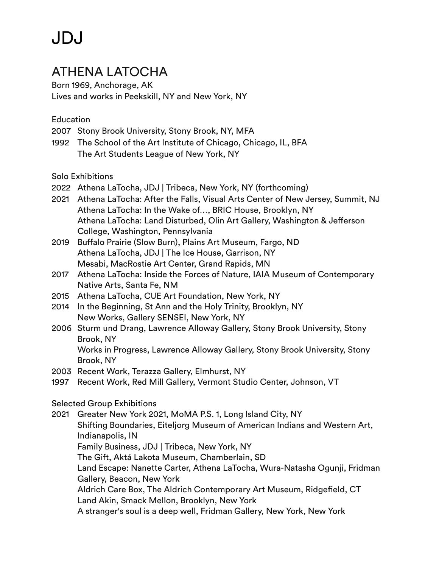### ATHENA LATOCHA

Born 1969, Anchorage, AK Lives and works in Peekskill, NY and New York, NY

Education

- 2007 Stony Brook University, Stony Brook, NY, MFA
- 1992 The School of the Art Institute of Chicago, Chicago, IL, BFA The Art Students League of New York, NY

Solo Exhibitions

- 2022 Athena LaTocha, JDJ | Tribeca, New York, NY (forthcoming)
- 2021 Athena LaTocha: After the Falls, Visual Arts Center of New Jersey, Summit, NJ Athena LaTocha: In the Wake of…, BRIC House, Brooklyn, NY Athena LaTocha: Land Disturbed, Olin Art Gallery, Washington & Jefferson College, Washington, Pennsylvania
- 2019 Buffalo Prairie (Slow Burn), Plains Art Museum, Fargo, ND Athena LaTocha, JDJ | The Ice House, Garrison, NY Mesabi, MacRostie Art Center, Grand Rapids, MN
- 2017 Athena LaTocha: Inside the Forces of Nature, IAIA Museum of Contemporary Native Arts, Santa Fe, NM
- 2015 Athena LaTocha, CUE Art Foundation, New York, NY
- 2014 In the Beginning, St Ann and the Holy Trinity, Brooklyn, NY New Works, Gallery SENSEI, New York, NY
- 2006 Sturm und Drang, Lawrence Alloway Gallery, Stony Brook University, Stony Brook, NY Works in Progress, Lawrence Alloway Gallery, Stony Brook University, Stony Brook, NY
- 2003 Recent Work, Terazza Gallery, Elmhurst, NY
- 1997 Recent Work, Red Mill Gallery, Vermont Studio Center, Johnson, VT

Selected Group Exhibitions

2021 Greater New York 2021, MoMA P.S. 1, Long Island City, NY Shifting Boundaries, Eiteljorg Museum of American Indians and Western Art, Indianapolis, IN Family Business, JDJ | Tribeca, New York, NY The Gift, Aktá Lakota Museum, Chamberlain, SD Land Escape: Nanette Carter, Athena LaTocha, Wura-Natasha Ogunji, Fridman Gallery, Beacon, New York Aldrich Care Box, The Aldrich Contemporary Art Museum, Ridgefield, CT Land Akin, Smack Mellon, Brooklyn, New York A stranger's soul is a deep well, Fridman Gallery, New York, New York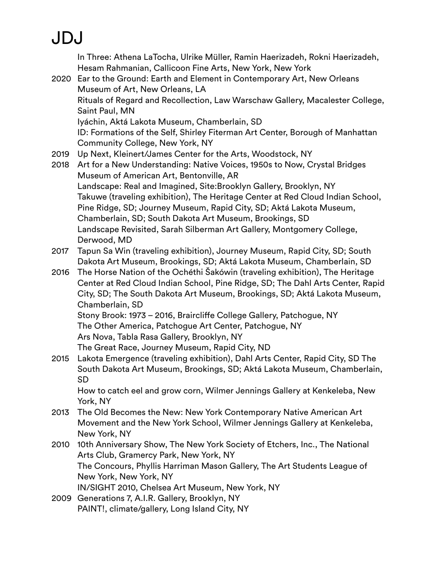In Three: Athena LaTocha, Ulrike Müller, Ramin Haerizadeh, Rokni Haerizadeh, Hesam Rahmanian, Callicoon Fine Arts, New York, New York

2020 Ear to the Ground: Earth and Element in Contemporary Art, New Orleans Museum of Art, New Orleans, LA Rituals of Regard and Recollection, Law Warschaw Gallery, Macalester College, Saint Paul, MN Iyáchin, Aktá Lakota Museum, Chamberlain, SD ID: Formations of the Self, Shirley Fiterman Art Center, Borough of Manhattan Community College, New York, NY

- 2019 Up Next, Kleinert/James Center for the Arts, Woodstock, NY
- 2018 Art for a New Understanding: Native Voices, 1950s to Now, Crystal Bridges Museum of American Art, Bentonville, AR Landscape: Real and Imagined, Site:Brooklyn Gallery, Brooklyn, NY Takuwe (traveling exhibition), The Heritage Center at Red Cloud Indian School, Pine Ridge, SD; Journey Museum, Rapid City, SD; Aktá Lakota Museum, Chamberlain, SD; South Dakota Art Museum, Brookings, SD Landscape Revisited, Sarah Silberman Art Gallery, Montgomery College, Derwood, MD
- 2017 Tapun Sa Win (traveling exhibition), Journey Museum, Rapid City, SD; South Dakota Art Museum, Brookings, SD; Aktá Lakota Museum, Chamberlain, SD
- 2016 The Horse Nation of the Ochéthi Šakówin (traveling exhibition), The Heritage Center at Red Cloud Indian School, Pine Ridge, SD; The Dahl Arts Center, Rapid City, SD; The South Dakota Art Museum, Brookings, SD; Aktá Lakota Museum, Chamberlain, SD Stony Brook: 1973 – 2016, Braircliffe College Gallery, Patchogue, NY

The Other America, Patchogue Art Center, Patchogue, NY

Ars Nova, Tabla Rasa Gallery, Brooklyn, NY

The Great Race, Journey Museum, Rapid City, ND

2015 Lakota Emergence (traveling exhibition), Dahl Arts Center, Rapid City, SD The South Dakota Art Museum, Brookings, SD; Aktá Lakota Museum, Chamberlain, SD

How to catch eel and grow corn, Wilmer Jennings Gallery at Kenkeleba, New York, NY

- 2013 The Old Becomes the New: New York Contemporary Native American Art Movement and the New York School, Wilmer Jennings Gallery at Kenkeleba, New York, NY
- 2010 10th Anniversary Show, The New York Society of Etchers, Inc., The National Arts Club, Gramercy Park, New York, NY The Concours, Phyllis Harriman Mason Gallery, The Art Students League of New York, New York, NY IN/SIGHT 2010, Chelsea Art Museum, New York, NY
- 2009 Generations 7, A.I.R. Gallery, Brooklyn, NY PAINT!, climate/gallery, Long Island City, NY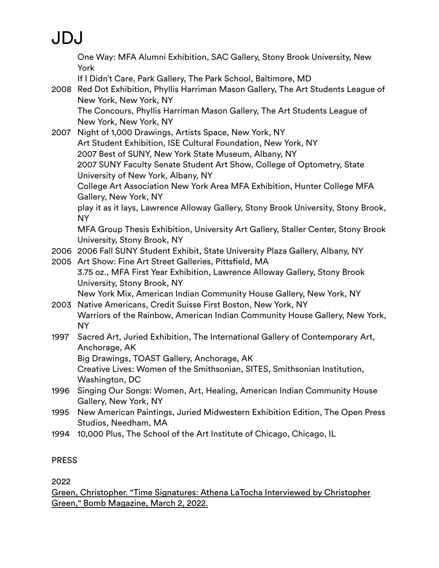One Way: MFA Alumni Exhibition, SAC Gallery, Stony Brook University, New York If I Didn't Care, Park Gallery, The Park School, Baltimore, MD 2008 Red Dot Exhibition, Phyllis Harriman Mason Gallery, The Art Students League of New York, New York, NY The Concours, Phyllis Harriman Mason Gallery, The Art Students League of New York, New York, NY 2007 Night of 1,000 Drawings, Artists Space, New York, NY Art Student Exhibition, ISE Cultural Foundation, New York, NY 2007 Best of SUNY, New York State Museum, Albany, NY 2007 SUNY Faculty Senate Student Art Show, College of Optometry, State University of New York, Albany, NY College Art Association New York Area MFA Exhibition, Hunter College MFA Gallery, New York, NY play it as it lays, Lawrence Alloway Gallery, Stony Brook University, Stony Brook, NY MFA Group Thesis Exhibition, University Art Gallery, Staller Center, Stony Brook University, Stony Brook, NY 2006 2006 Fall SUNY Student Exhibit, State University Plaza Gallery, Albany, NY 2005 Art Show: Fine Art Street Galleries, Pittsfield, MA 3.75 oz., MFA First Year Exhibition, Lawrence Alloway Gallery, Stony Brook University, Stony Brook, NY New York Mix, American Indian Community House Gallery, New York, NY 2003 Native Americans, Credit Suisse First Boston, New York, NY Warriors of the Rainbow, American Indian Community House Gallery, New York, NY 1997 Sacred Art, Juried Exhibition, The International Gallery of Contemporary Art, Anchorage, AK Big Drawings, TOAST Gallery, Anchorage, AK Creative Lives: Women of the Smithsonian, SITES, Smithsonian Institution, Washington, DC 1996 Singing Our Songs: Women, Art, Healing, American Indian Community House Gallery, New York, NY 1995 New American Paintings, Juried Midwestern Exhibition Edition, The Open Press Studios, Needham, MA 1994 10,000 Plus, The School of the Art Institute of Chicago, Chicago, IL

#### PRESS

2022

[Green, Christopher. "Time Signatures: Athena LaTocha Interviewed by Christopher](https://jdj.world/wp-content/uploads/2020/03/time-signatures-athena-latocha-interviewed.pdf)  [Green," Bomb Magazine, March 2, 2022.](https://jdj.world/wp-content/uploads/2020/03/time-signatures-athena-latocha-interviewed.pdf)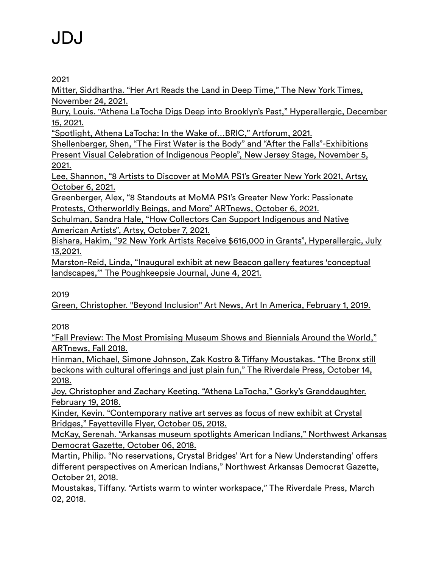2021

[Mitter, Siddhartha. "Her Art Reads the Land in Deep Time," The New York Times,](https://www.nytimes.com/2021/11/24/arts/design/athena-latocha-bric-sculpture-native-american.html)  [November 24, 2021.](https://www.nytimes.com/2021/11/24/arts/design/athena-latocha-bric-sculpture-native-american.html)

Bury, Louis. "Athena LaTocha Digs Deep into Brooklyn's Past," Hyperallergic, December 15, 2021.

"Spotlight, Athena LaTocha: In the Wake of…BRIC," Artforum, 2021.

Shellenberger, Shen, "The First Water is the Body" and "After the Falls"-Exhibitions Present Visual Celebration of Indigenous People", New Jersey Stage, November 5, 2021.

Lee, Shannon, "8 Artists to Discover at MoMA PS1's Greater New York 2021, Artsy, October 6, 2021.

Greenberger, Alex, "8 Standouts at MoMA PS1's Greater New York: Passionate Protests, Otherworldly Beings, and More" ARTnews, October 6, 2021.

Schulman, Sandra Hale, "How Collectors Can Support Indigenous and Native American Artists", Artsy, October 7, 2021.

Bishara, Hakim, "92 New York Artists Receive \$616,000 in Grants", Hyperallergic, July 13,2021.

Marston-Reid, Linda, "Inaugural exhibit at new Beacon gallery features 'conceptual landscapes,'" The Poughkeepsie Journal, June 4, 2021.

### 2019

[Green, Christopher. "Beyond Inclusion" Art News, Art In America, February 1, 2019.](https://www.artnews.com/art-in-america/features/beyond-inclusion-63604/)

2018

["Fall Preview: The Most Promising Museum Shows and Biennials Around the World,"](https://www.artnews.com/art-news/news/fall-preview-promising-museum-shows-biennials-around-world-10833/)  [ARTnews, Fall 2018.](https://www.artnews.com/art-news/news/fall-preview-promising-museum-shows-biennials-around-world-10833/)

[Hinman, Michael, Simone Johnson, Zak Kostro & Ti](https://riverdalepress.com/stories/the-bronx-still-beckons-with-cultural-offerings-and-just-plain-fun,67039)ffany Moustakas. "The Bronx still beckons with cultural off[erings and just plain fun," The Riverdale Press, October 14,](https://riverdalepress.com/stories/the-bronx-still-beckons-with-cultural-offerings-and-just-plain-fun,67039)  [2018.](https://riverdalepress.com/stories/the-bronx-still-beckons-with-cultural-offerings-and-just-plain-fun,67039)

[Joy, Christopher and Zachary Keeting. "Athena LaTocha," Gorky's Granddaughter.](http://www.gorkysgranddaughter.com/2018/02/athena-latocha-oct-2017.html)  [February 19, 2018.](http://www.gorkysgranddaughter.com/2018/02/athena-latocha-oct-2017.html)

[Kinder, Kevin. "Contemporary native art serves as focus of new exhibit at Crystal](https://www.fayettevilleflyer.com/2018/10/05/contemporary-native-art-serves-as-focus-of-new-exhibit-at-crystal-bridges/)  [Bridges," Fayetteville Flyer, October 05, 2018.](https://www.fayettevilleflyer.com/2018/10/05/contemporary-native-art-serves-as-focus-of-new-exhibit-at-crystal-bridges/)

[McKay, Serenah. "Arkansas museum spotlights American Indians," Northwest Arkansas](https://www.arkansasonline.com/news/2018/oct/06/museum-spotlights-american-indians-2018/)  [Democrat Gazette, October 06, 2018.](https://www.arkansasonline.com/news/2018/oct/06/museum-spotlights-american-indians-2018/)

Martin, Philip. "No reservations, Crystal Bridges' 'Art for a New Understanding' offers different perspectives on American Indians," Northwest Arkansas Democrat Gazette, October 21, 2018.

Moustakas, Tiffany. "Artists warm to winter workspace," The Riverdale Press, March 02, 2018.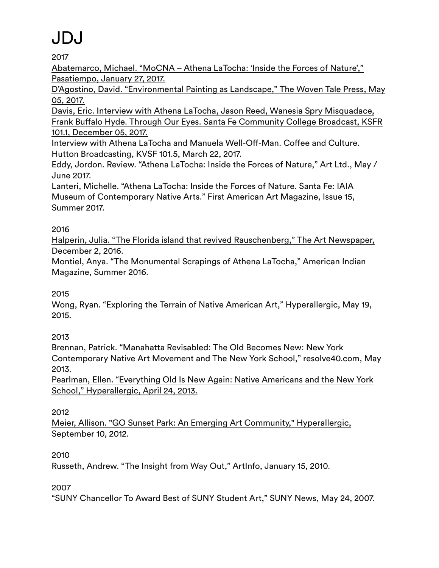2017

[Abatemarco, Michael. "MoCNA – Athena LaTocha: 'Inside the Forces of Nature',"](https://www.santafenewmexican.com/pasatiempo/art/museum_shows/mocna-athena-latocha-inside-the-forces-of-nature/article_810345a8-e42a-11e6-9098-4f1e42008a1f.html)  [Pasatiempo, January 27, 2017.](https://www.santafenewmexican.com/pasatiempo/art/museum_shows/mocna-athena-latocha-inside-the-forces-of-nature/article_810345a8-e42a-11e6-9098-4f1e42008a1f.html)

[D'Agostino, David. "Environmental Painting as Landscape," The Woven Tale Press, May](https://www.thewoventalepress.net/2017/05/05/environmental-painting-david-dagostino/)  [05, 2017.](https://www.thewoventalepress.net/2017/05/05/environmental-painting-david-dagostino/)

[Davis, Eric. Interview with Athena LaTocha, Jason Reed, Wanesia Spry Misquadace,](https://iaia.edu/event/iaia-r-athena-latocha-frank-buffalo-hyde-jason-reed-brown-wanesia-spry-misquadace-radio-broadcast/)  Frank Buff[alo Hyde. Through Our Eyes. Santa Fe Community College Broadcast, KSFR](https://iaia.edu/event/iaia-r-athena-latocha-frank-buffalo-hyde-jason-reed-brown-wanesia-spry-misquadace-radio-broadcast/)  [101.1, December 05, 2017.](https://iaia.edu/event/iaia-r-athena-latocha-frank-buffalo-hyde-jason-reed-brown-wanesia-spry-misquadace-radio-broadcast/)

Interview with Athena LaTocha and Manuela Well-Off-Man. Coffee and Culture. Hutton Broadcasting, KVSF 101.5, March 22, 2017.

Eddy, Jordon. Review. "Athena LaTocha: Inside the Forces of Nature," Art Ltd., May / June 2017.

Lanteri, Michelle. "Athena LaTocha: Inside the Forces of Nature. Santa Fe: IAIA Museum of Contemporary Native Arts." First American Art Magazine, Issue 15, Summer 2017.

### 2016

[Halperin, Julia. "The Florida island that revived Rauschenberg," The Art Newspaper,](https://www.theartnewspaper.com/news/the-florida-island-that-revived-rauschenberg)  [December 2, 2016.](https://www.theartnewspaper.com/news/the-florida-island-that-revived-rauschenberg)

Montiel, Anya. "The Monumental Scrapings of Athena LaTocha," American Indian Magazine, Summer 2016.

### 2015

Wong, Ryan. "Exploring the Terrain of Native American Art," Hyperallergic, May 19, 2015.

### 2013

Brennan, Patrick. "Manahatta Revisabled: The Old Becomes New: New York Contemporary Native Art Movement and The New York School," resolve40.com, May 2013.

[Pearlman, Ellen. "Everything Old Is New Again: Native Americans and the New York](https://hyperallergic.com/68875/everything-old-is-new-again-native-americans-and-the-new-york-school/)  [School," Hyperallergic, April 24, 2013.](https://hyperallergic.com/68875/everything-old-is-new-again-native-americans-and-the-new-york-school/)

### 2012

[Meier, Allison. "GO Sunset Park: An Emerging Art Community," Hyperallergic,](https://hyperallergic.com/56572/go-sunset-park-an-emerging-art-community/)  [September 10, 2012.](https://hyperallergic.com/56572/go-sunset-park-an-emerging-art-community/)

2010

Russeth, Andrew. "The Insight from Way Out," ArtInfo, January 15, 2010.

2007

"SUNY Chancellor To Award Best of SUNY Student Art," SUNY News, May 24, 2007.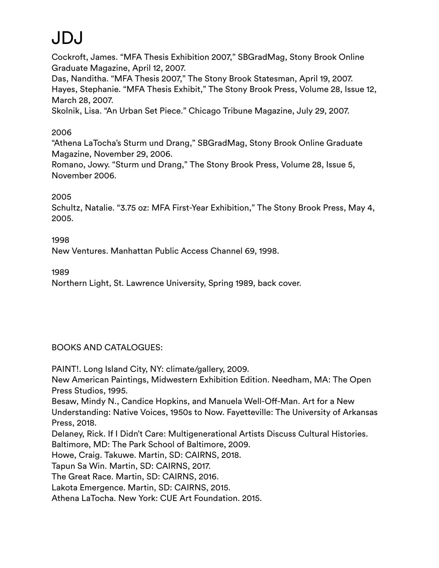Cockroft, James. "MFA Thesis Exhibition 2007," SBGradMag, Stony Brook Online Graduate Magazine, April 12, 2007.

Das, Nanditha. "MFA Thesis 2007," The Stony Brook Statesman, April 19, 2007. Hayes, Stephanie. "MFA Thesis Exhibit," The Stony Brook Press, Volume 28, Issue 12, March 28, 2007.

Skolnik, Lisa. "An Urban Set Piece." Chicago Tribune Magazine, July 29, 2007.

#### 2006

"Athena LaTocha's Sturm und Drang," SBGradMag, Stony Brook Online Graduate Magazine, November 29, 2006.

Romano, Jowy. "Sturm und Drang," The Stony Brook Press, Volume 28, Issue 5, November 2006.

#### 2005

Schultz, Natalie. "3.75 oz: MFA First-Year Exhibition," The Stony Brook Press, May 4, 2005.

1998 New Ventures. Manhattan Public Access Channel 69, 1998.

1989

Northern Light, St. Lawrence University, Spring 1989, back cover.

### BOOKS AND CATALOGUES:

PAINT!. Long Island City, NY: climate/gallery, 2009.

New American Paintings, Midwestern Exhibition Edition. Needham, MA: The Open Press Studios, 1995.

Besaw, Mindy N., Candice Hopkins, and Manuela Well-Off-Man. Art for a New Understanding: Native Voices, 1950s to Now. Fayetteville: The University of Arkansas Press, 2018.

Delaney, Rick. If I Didn't Care: Multigenerational Artists Discuss Cultural Histories. Baltimore, MD: The Park School of Baltimore, 2009.

Howe, Craig. Takuwe. Martin, SD: CAIRNS, 2018.

Tapun Sa Win. Martin, SD: CAIRNS, 2017.

The Great Race. Martin, SD: CAIRNS, 2016.

Lakota Emergence. Martin, SD: CAIRNS, 2015.

Athena LaTocha. New York: CUE Art Foundation. 2015.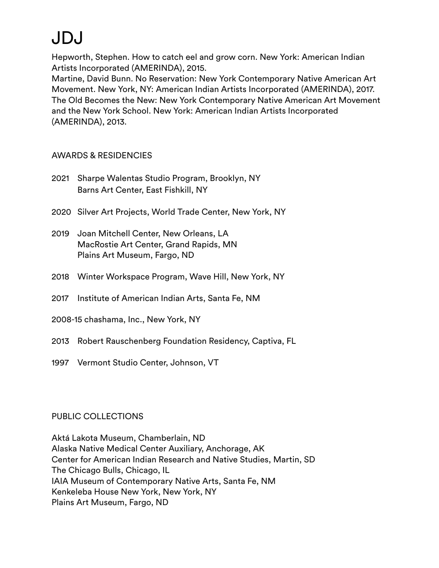Hepworth, Stephen. How to catch eel and grow corn. New York: American Indian Artists Incorporated (AMERINDA), 2015.

Martine, David Bunn. No Reservation: New York Contemporary Native American Art Movement. New York, NY: American Indian Artists Incorporated (AMERINDA), 2017. The Old Becomes the New: New York Contemporary Native American Art Movement and the New York School. New York: American Indian Artists Incorporated (AMERINDA), 2013.

### AWARDS & RESIDENCIES

- 2021 Sharpe Walentas Studio Program, Brooklyn, NY Barns Art Center, East Fishkill, NY
- 2020 Silver Art Projects, World Trade Center, New York, NY
- 2019 Joan Mitchell Center, New Orleans, LA MacRostie Art Center, Grand Rapids, MN Plains Art Museum, Fargo, ND
- 2018 Winter Workspace Program, Wave Hill, New York, NY
- 2017 Institute of American Indian Arts, Santa Fe, NM
- 2008-15 chashama, Inc., New York, NY
- 2013 Robert Rauschenberg Foundation Residency, Captiva, FL
- 1997 Vermont Studio Center, Johnson, VT

### PUBLIC COLLECTIONS

Aktá Lakota Museum, Chamberlain, ND Alaska Native Medical Center Auxiliary, Anchorage, AK Center for American Indian Research and Native Studies, Martin, SD The Chicago Bulls, Chicago, IL IAIA Museum of Contemporary Native Arts, Santa Fe, NM Kenkeleba House New York, New York, NY Plains Art Museum, Fargo, ND